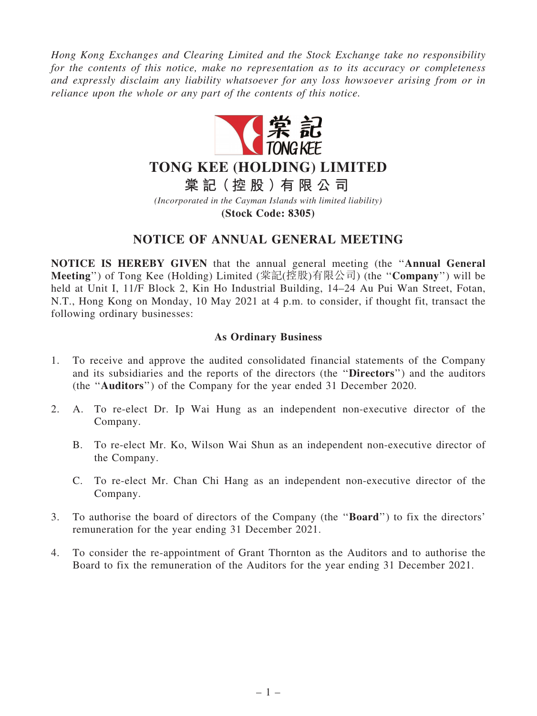*Hong Kong Exchanges and Clearing Limited and the Stock Exchange take no responsibility for the contents of this notice, make no representation as to its accuracy or completeness and expressly disclaim any liability whatsoever for any loss howsoever arising from or in reliance upon the whole or any part of the contents of this notice.*



# **TONG KEE (HOLDING) LIMITED**

**棠 記(控 股 )有 限 公 司**

*(Incorporated in the Cayman Islands with limited liability)*

**(Stock Code: 8305)**

## NOTICE OF ANNUAL GENERAL MEETING

NOTICE IS HEREBY GIVEN that the annual general meeting (the ''Annual General Meeting'') of Tong Kee (Holding) Limited (棠記(控股)有限公司) (the ''Company'') will be held at Unit I, 11/F Block 2, Kin Ho Industrial Building, 14–24 Au Pui Wan Street, Fotan, N.T., Hong Kong on Monday, 10 May 2021 at 4 p.m. to consider, if thought fit, transact the following ordinary businesses:

### As Ordinary Business

- 1. To receive and approve the audited consolidated financial statements of the Company and its subsidiaries and the reports of the directors (the ''Directors'') and the auditors (the ''Auditors'') of the Company for the year ended 31 December 2020.
- 2. A. To re-elect Dr. Ip Wai Hung as an independent non-executive director of the Company.
	- B. To re-elect Mr. Ko, Wilson Wai Shun as an independent non-executive director of the Company.
	- C. To re-elect Mr. Chan Chi Hang as an independent non-executive director of the Company.
- 3. To authorise the board of directors of the Company (the ''Board'') to fix the directors' remuneration for the year ending 31 December 2021.
- 4. To consider the re-appointment of Grant Thornton as the Auditors and to authorise the Board to fix the remuneration of the Auditors for the year ending 31 December 2021.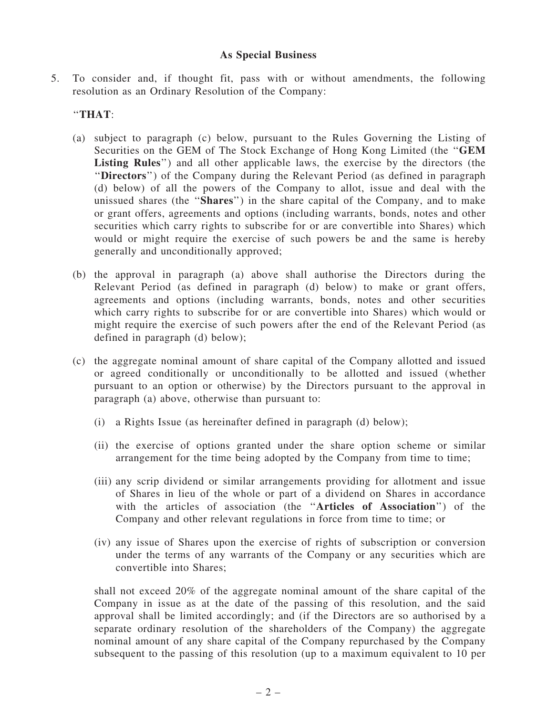#### As Special Business

5. To consider and, if thought fit, pass with or without amendments, the following resolution as an Ordinary Resolution of the Company:

#### ''THAT:

- (a) subject to paragraph (c) below, pursuant to the Rules Governing the Listing of Securities on the GEM of The Stock Exchange of Hong Kong Limited (the ''GEM Listing Rules") and all other applicable laws, the exercise by the directors (the ''Directors'') of the Company during the Relevant Period (as defined in paragraph (d) below) of all the powers of the Company to allot, issue and deal with the unissued shares (the ''Shares'') in the share capital of the Company, and to make or grant offers, agreements and options (including warrants, bonds, notes and other securities which carry rights to subscribe for or are convertible into Shares) which would or might require the exercise of such powers be and the same is hereby generally and unconditionally approved;
- (b) the approval in paragraph (a) above shall authorise the Directors during the Relevant Period (as defined in paragraph (d) below) to make or grant offers, agreements and options (including warrants, bonds, notes and other securities which carry rights to subscribe for or are convertible into Shares) which would or might require the exercise of such powers after the end of the Relevant Period (as defined in paragraph (d) below);
- (c) the aggregate nominal amount of share capital of the Company allotted and issued or agreed conditionally or unconditionally to be allotted and issued (whether pursuant to an option or otherwise) by the Directors pursuant to the approval in paragraph (a) above, otherwise than pursuant to:
	- (i) a Rights Issue (as hereinafter defined in paragraph (d) below);
	- (ii) the exercise of options granted under the share option scheme or similar arrangement for the time being adopted by the Company from time to time;
	- (iii) any scrip dividend or similar arrangements providing for allotment and issue of Shares in lieu of the whole or part of a dividend on Shares in accordance with the articles of association (the ''Articles of Association'') of the Company and other relevant regulations in force from time to time; or
	- (iv) any issue of Shares upon the exercise of rights of subscription or conversion under the terms of any warrants of the Company or any securities which are convertible into Shares;

shall not exceed 20% of the aggregate nominal amount of the share capital of the Company in issue as at the date of the passing of this resolution, and the said approval shall be limited accordingly; and (if the Directors are so authorised by a separate ordinary resolution of the shareholders of the Company) the aggregate nominal amount of any share capital of the Company repurchased by the Company subsequent to the passing of this resolution (up to a maximum equivalent to 10 per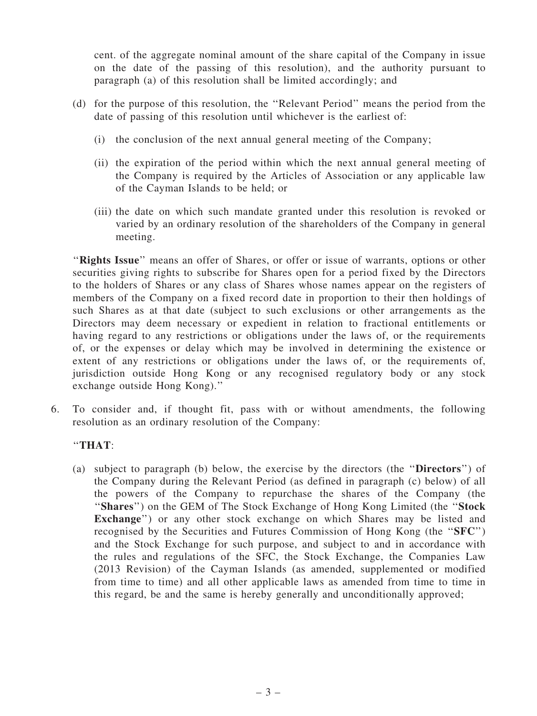cent. of the aggregate nominal amount of the share capital of the Company in issue on the date of the passing of this resolution), and the authority pursuant to paragraph (a) of this resolution shall be limited accordingly; and

- (d) for the purpose of this resolution, the ''Relevant Period'' means the period from the date of passing of this resolution until whichever is the earliest of:
	- (i) the conclusion of the next annual general meeting of the Company;
	- (ii) the expiration of the period within which the next annual general meeting of the Company is required by the Articles of Association or any applicable law of the Cayman Islands to be held; or
	- (iii) the date on which such mandate granted under this resolution is revoked or varied by an ordinary resolution of the shareholders of the Company in general meeting.

"Rights Issue" means an offer of Shares, or offer or issue of warrants, options or other securities giving rights to subscribe for Shares open for a period fixed by the Directors to the holders of Shares or any class of Shares whose names appear on the registers of members of the Company on a fixed record date in proportion to their then holdings of such Shares as at that date (subject to such exclusions or other arrangements as the Directors may deem necessary or expedient in relation to fractional entitlements or having regard to any restrictions or obligations under the laws of, or the requirements of, or the expenses or delay which may be involved in determining the existence or extent of any restrictions or obligations under the laws of, or the requirements of, jurisdiction outside Hong Kong or any recognised regulatory body or any stock exchange outside Hong Kong).''

6. To consider and, if thought fit, pass with or without amendments, the following resolution as an ordinary resolution of the Company:

### ''THAT:

(a) subject to paragraph (b) below, the exercise by the directors (the ''Directors'') of the Company during the Relevant Period (as defined in paragraph (c) below) of all the powers of the Company to repurchase the shares of the Company (the "Shares") on the GEM of The Stock Exchange of Hong Kong Limited (the "Stock" Exchange") or any other stock exchange on which Shares may be listed and recognised by the Securities and Futures Commission of Hong Kong (the ''SFC'') and the Stock Exchange for such purpose, and subject to and in accordance with the rules and regulations of the SFC, the Stock Exchange, the Companies Law (2013 Revision) of the Cayman Islands (as amended, supplemented or modified from time to time) and all other applicable laws as amended from time to time in this regard, be and the same is hereby generally and unconditionally approved;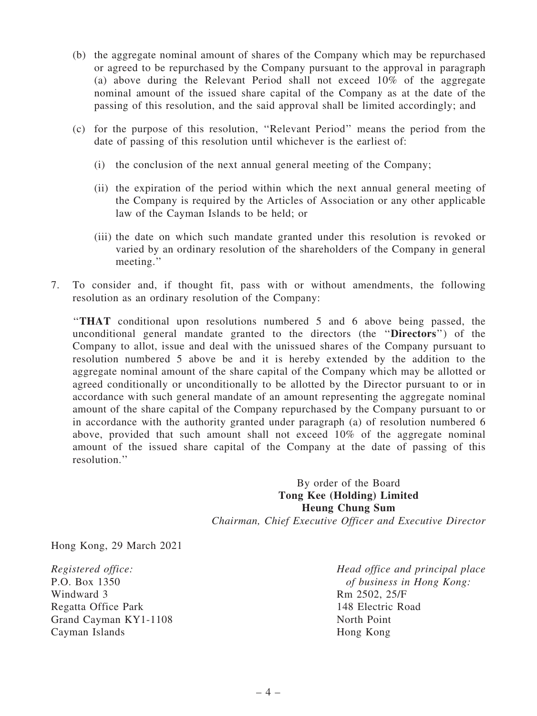- (b) the aggregate nominal amount of shares of the Company which may be repurchased or agreed to be repurchased by the Company pursuant to the approval in paragraph (a) above during the Relevant Period shall not exceed 10% of the aggregate nominal amount of the issued share capital of the Company as at the date of the passing of this resolution, and the said approval shall be limited accordingly; and
- (c) for the purpose of this resolution, ''Relevant Period'' means the period from the date of passing of this resolution until whichever is the earliest of:
	- (i) the conclusion of the next annual general meeting of the Company;
	- (ii) the expiration of the period within which the next annual general meeting of the Company is required by the Articles of Association or any other applicable law of the Cayman Islands to be held; or
	- (iii) the date on which such mandate granted under this resolution is revoked or varied by an ordinary resolution of the shareholders of the Company in general meeting.''
- 7. To consider and, if thought fit, pass with or without amendments, the following resolution as an ordinary resolution of the Company:

''THAT conditional upon resolutions numbered 5 and 6 above being passed, the unconditional general mandate granted to the directors (the ''Directors'') of the Company to allot, issue and deal with the unissued shares of the Company pursuant to resolution numbered 5 above be and it is hereby extended by the addition to the aggregate nominal amount of the share capital of the Company which may be allotted or agreed conditionally or unconditionally to be allotted by the Director pursuant to or in accordance with such general mandate of an amount representing the aggregate nominal amount of the share capital of the Company repurchased by the Company pursuant to or in accordance with the authority granted under paragraph (a) of resolution numbered 6 above, provided that such amount shall not exceed 10% of the aggregate nominal amount of the issued share capital of the Company at the date of passing of this resolution.''

> By order of the Board Tong Kee (Holding) Limited Heung Chung Sum *Chairman, Chief Executive Officer and Executive Director*

Hong Kong, 29 March 2021

*Registered office:* P.O. Box 1350 Windward 3 Regatta Office Park Grand Cayman KY1-1108 Cayman Islands

*Head office and principal place of business in Hong Kong:* Rm 2502, 25/F 148 Electric Road North Point Hong Kong